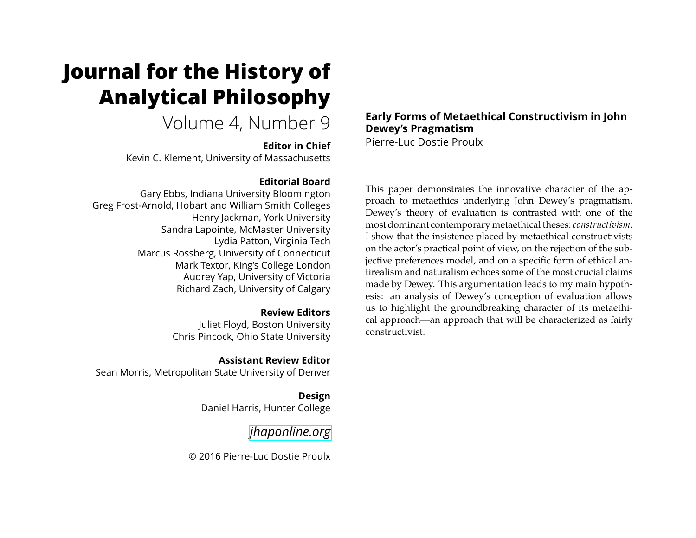# **Journal for the History of Analytical Philosophy**

Volume 4, Number 9

**Editor in Chief** Kevin C. Klement, University of Massachusetts

## **Editorial Board**

Gary Ebbs, Indiana University Bloomington Greg Frost-Arnold, Hobart and William Smith Colleges Henry Jackman, York University Sandra Lapointe, McMaster University Lydia Patton, Virginia Tech Marcus Rossberg, University of Connecticut Mark Textor, King's College London Audrey Yap, University of Victoria Richard Zach, University of Calgary

**Review Editors**

Juliet Floyd, Boston University Chris Pincock, Ohio State University

**Assistant Review Editor** Sean Morris, Metropolitan State University of Denver

> **Design** Daniel Harris, Hunter College

> > *[jhaponline.org](https://jhaponline.org)*

© 2016 Pierre-Luc Dostie Proulx

# **Early Forms of Metaethical Constructivism in John Dewey's Pragmatism**

Pierre-Luc Dostie Proulx

This paper demonstrates the innovative character of the approach to metaethics underlying John Dewey's pragmatism. Dewey's theory of evaluation is contrasted with one of the most dominant contemporary metaethical theses: *constructivism*. I show that the insistence placed by metaethical constructivists on the actor's practical point of view, on the rejection of the subjective preferences model, and on a specific form of ethical antirealism and naturalism echoes some of the most crucial claims made by Dewey. This argumentation leads to my main hypothesis: an analysis of Dewey's conception of evaluation allows us to highlight the groundbreaking character of its metaethical approach—an approach that will be characterized as fairly constructivist.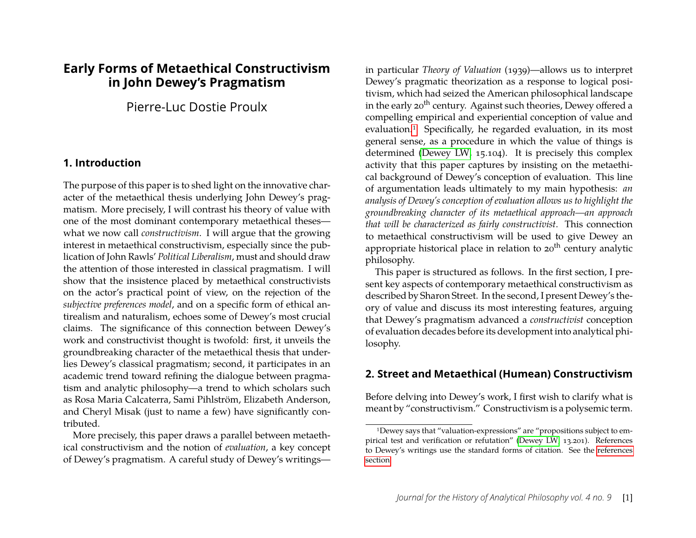# **Early Forms of Metaethical Constructivism in John Dewey's Pragmatism**

Pierre-Luc Dostie Proulx

# **1. Introduction**

The purpose of this paper is to shed light on the innovative character of the metaethical thesis underlying John Dewey's pragmatism. More precisely, I will contrast his theory of value with one of the most dominant contemporary metaethical theses what we now call *constructivism*. I will argue that the growing interest in metaethical constructivism, especially since the publication of John Rawls' *Political Liberalism*, must and should draw the attention of those interested in classical pragmatism. I will show that the insistence placed by metaethical constructivists on the actor's practical point of view, on the rejection of the *subjective preferences model*, and on a specific form of ethical antirealism and naturalism, echoes some of Dewey's most crucial claims. The significance of this connection between Dewey's work and constructivist thought is twofold: first, it unveils the groundbreaking character of the metaethical thesis that underlies Dewey's classical pragmatism; second, it participates in an academic trend toward refining the dialogue between pragmatism and analytic philosophy—a trend to which scholars such as Rosa Maria Calcaterra, Sami Pihlström, Elizabeth Anderson, and Cheryl Misak (just to name a few) have significantly contributed.

More precisely, this paper draws a parallel between metaethical constructivism and the notion of *evaluation*, a key concept of Dewey's pragmatism. A careful study of Dewey's writings—

in particular *Theory of Valuation* (1939)—allows us to interpret Dewey's pragmatic theorization as a response to logical positivism, which had seized the American philosophical landscape in the early 20<sup>th</sup> century. Against such theories, Dewey offered a compelling empirical and experiential conception of value and evaluation.[1](#page-1-0) Specifically, he regarded evaluation, in its most general sense, as a procedure in which the value of things is determined [\(Dewey LW,](#page-12-0) 15.104). It is precisely this complex activity that this paper captures by insisting on the metaethical background of Dewey's conception of evaluation. This line of argumentation leads ultimately to my main hypothesis: *an analysis of Dewey's conception of evaluation allows us to highlight the groundbreaking character of its metaethical approach—an approach that will be characterized as fairly constructivist*. This connection to metaethical constructivism will be used to give Dewey an appropriate historical place in relation to  $20<sup>th</sup>$  century analytic philosophy.

This paper is structured as follows. In the first section, I present key aspects of contemporary metaethical constructivism as described by Sharon Street. In the second, I present Dewey's theory of value and discuss its most interesting features, arguing that Dewey's pragmatism advanced a *constructivist* conception of evaluation decades before its development into analytical philosophy.

# **2. Street and Metaethical (Humean) Constructivism**

Before delving into Dewey's work, I first wish to clarify what is meant by "constructivism." Constructivism is a polysemic term.

<span id="page-1-0"></span><sup>1</sup>Dewey says that "valuation-expressions" are "propositions subject to empirical test and verification or refutation" [\(Dewey LW,](#page-12-0) 13.201). References to Dewey's writings use the standard forms of citation. See the [references](#page-12-1) [section.](#page-12-1)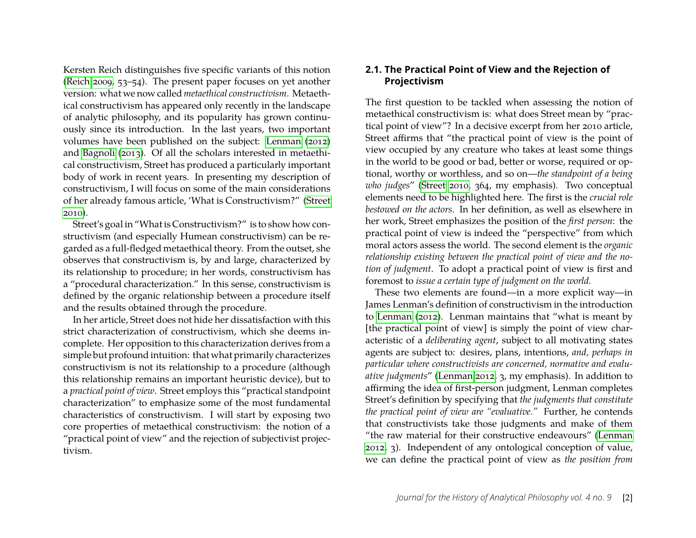Kersten Reich distinguishes five specific variants of this notion [\(Reich 2009,](#page-13-0) 53–54). The present paper focuses on yet another version: what we now called *metaethical constructivism*. Metaethical constructivism has appeared only recently in the landscape of analytic philosophy, and its popularity has grown continuously since its introduction. In the last years, two important volumes have been published on the subject: [Lenman \(2012\)](#page-13-1) and [Bagnoli \(2013\)](#page-12-2). Of all the scholars interested in metaethical constructivism, Street has produced a particularly important body of work in recent years. In presenting my description of constructivism, I will focus on some of the main considerations of her already famous article, 'What is Constructivism?" [\(Street](#page-13-2) [2010\)](#page-13-2).

Street's goal in "What is Constructivism?" is to show how constructivism (and especially Humean constructivism) can be regarded as a full-fledged metaethical theory. From the outset, she observes that constructivism is, by and large, characterized by its relationship to procedure; in her words, constructivism has a "procedural characterization." In this sense, constructivism is defined by the organic relationship between a procedure itself and the results obtained through the procedure.

In her article, Street does not hide her dissatisfaction with this strict characterization of constructivism, which she deems incomplete. Her opposition to this characterization derives from a simple but profound intuition: that what primarily characterizes constructivism is not its relationship to a procedure (although this relationship remains an important heuristic device), but to a *practical point of view*. Street employs this "practical standpoint characterization" to emphasize some of the most fundamental characteristics of constructivism. I will start by exposing two core properties of metaethical constructivism: the notion of a "practical point of view" and the rejection of subjectivist projectivism.

# **2.1. The Practical Point of View and the Rejection of Projectivism**

The first question to be tackled when assessing the notion of metaethical constructivism is: what does Street mean by "practical point of view"? In a decisive excerpt from her 2010 article, Street affirms that "the practical point of view is the point of view occupied by any creature who takes at least some things in the world to be good or bad, better or worse, required or optional, worthy or worthless, and so on—*the standpoint of a being who judges*" [\(Street 2010,](#page-13-2) 364, my emphasis). Two conceptual elements need to be highlighted here. The first is the *crucial role bestowed on the actors*. In her definition, as well as elsewhere in her work, Street emphasizes the position of the *first person*: the practical point of view is indeed the "perspective" from which moral actors assess the world. The second element is the *organic relationship existing between the practical point of view and the notion of judgment*. To adopt a practical point of view is first and foremost to *issue a certain type of judgment on the world.*

These two elements are found—in a more explicit way—in James Lenman's definition of constructivism in the introduction to [Lenman \(2012\)](#page-13-1). Lenman maintains that "what is meant by [the practical point of view] is simply the point of view characteristic of a *deliberating agent*, subject to all motivating states agents are subject to: desires, plans, intentions, *and, perhaps in particular where constructivists are concerned, normative and evaluative judgments*" [\(Lenman 2012,](#page-13-1) 3, my emphasis). In addition to affirming the idea of first-person judgment, Lenman completes Street's definition by specifying that *the judgments that constitute the practical point of view are "evaluative."* Further, he contends that constructivists take those judgments and make of them "the raw material for their constructive endeavours" [\(Lenman](#page-13-1) [2012,](#page-13-1) 3). Independent of any ontological conception of value, we can define the practical point of view as *the position from*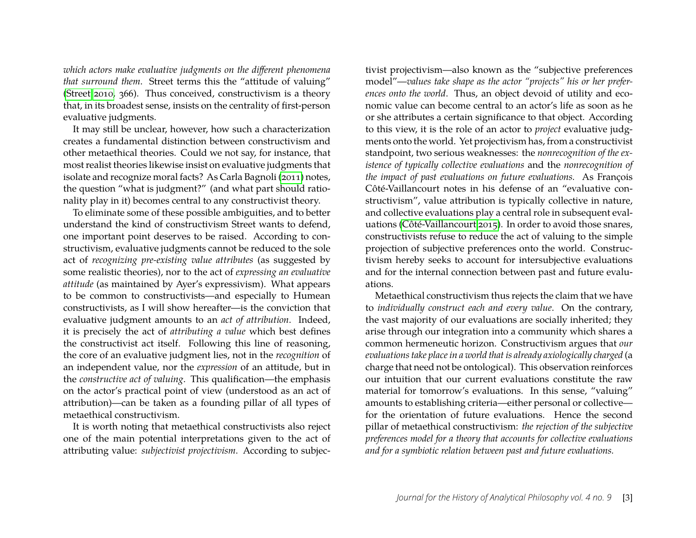*which actors make evaluative judgments on the different phenomena that surround them*. Street terms this the "attitude of valuing" [\(Street 2010,](#page-13-2) 366). Thus conceived, constructivism is a theory that, in its broadest sense, insists on the centrality of first-person evaluative judgments.

It may still be unclear, however, how such a characterization creates a fundamental distinction between constructivism and other metaethical theories. Could we not say, for instance, that most realist theories likewise insist on evaluative judgments that isolate and recognize moral facts? As Carla Bagnoli [\(2011\)](#page-12-3) notes, the question "what is judgment?" (and what part should rationality play in it) becomes central to any constructivist theory.

To eliminate some of these possible ambiguities, and to better understand the kind of constructivism Street wants to defend, one important point deserves to be raised. According to constructivism, evaluative judgments cannot be reduced to the sole act of *recognizing pre-existing value attributes* (as suggested by some realistic theories), nor to the act of *expressing an evaluative attitude* (as maintained by Ayer's expressivism). What appears to be common to constructivists—and especially to Humean constructivists, as I will show hereafter—is the conviction that evaluative judgment amounts to an *act of attribution*. Indeed, it is precisely the act of *attributing a value* which best defines the constructivist act itself. Following this line of reasoning, the core of an evaluative judgment lies, not in the *recognition* of an independent value, nor the *expression* of an attitude, but in the *constructive act of valuing*. This qualification—the emphasis on the actor's practical point of view (understood as an act of attribution)—can be taken as a founding pillar of all types of metaethical constructivism.

It is worth noting that metaethical constructivists also reject one of the main potential interpretations given to the act of attributing value: *subjectivist projectivism*. According to subjec-

tivist projectivism—also known as the "subjective preferences model"—*values take shape as the actor "projects" his or her preferences onto the world*. Thus, an object devoid of utility and economic value can become central to an actor's life as soon as he or she attributes a certain significance to that object. According to this view, it is the role of an actor to *project* evaluative judgments onto the world. Yet projectivism has, from a constructivist standpoint, two serious weaknesses: the *nonrecognition of the existence of typically collective evaluations* and the *nonrecognition of the impact of past evaluations on future evaluations.* As François Côté-Vaillancourt notes in his defense of an "evaluative constructivism", value attribution is typically collective in nature, and collective evaluations play a central role in subsequent evaluations [\(Côté-Vaillancourt 2015\)](#page-12-4). In order to avoid those snares, constructivists refuse to reduce the act of valuing to the simple projection of subjective preferences onto the world. Constructivism hereby seeks to account for intersubjective evaluations and for the internal connection between past and future evaluations.

Metaethical constructivism thus rejects the claim that we have to *individually construct each and every value*. On the contrary, the vast majority of our evaluations are socially inherited; they arise through our integration into a community which shares a common hermeneutic horizon. Constructivism argues that *our evaluations take place in a world that is already axiologically charged* (a charge that need not be ontological). This observation reinforces our intuition that our current evaluations constitute the raw material for tomorrow's evaluations. In this sense, "valuing" amounts to establishing criteria—either personal or collective for the orientation of future evaluations. Hence the second pillar of metaethical constructivism: *the rejection of the subjective preferences model for a theory that accounts for collective evaluations and for a symbiotic relation between past and future evaluations.*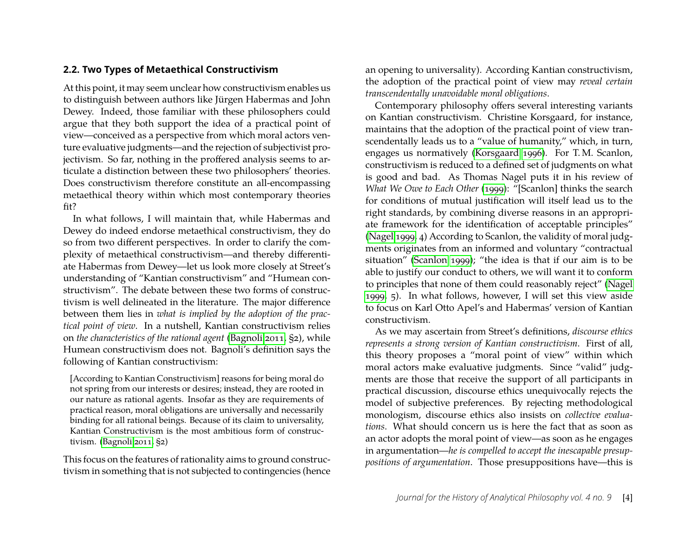# **2.2. Two Types of Metaethical Constructivism**

At this point, it may seem unclear how constructivism enables us to distinguish between authors like Jürgen Habermas and John Dewey. Indeed, those familiar with these philosophers could argue that they both support the idea of a practical point of view—conceived as a perspective from which moral actors venture evaluative judgments—and the rejection of subjectivist projectivism. So far, nothing in the proffered analysis seems to articulate a distinction between these two philosophers' theories. Does constructivism therefore constitute an all-encompassing metaethical theory within which most contemporary theories fit?

In what follows, I will maintain that, while Habermas and Dewey do indeed endorse metaethical constructivism, they do so from two different perspectives. In order to clarify the complexity of metaethical constructivism—and thereby differentiate Habermas from Dewey—let us look more closely at Street's understanding of "Kantian constructivism" and "Humean constructivism". The debate between these two forms of constructivism is well delineated in the literature. The major difference between them lies in *what is implied by the adoption of the practical point of view*. In a nutshell, Kantian constructivism relies on *the characteristics of the rational agent* [\(Bagnoli 2011,](#page-12-3) §2), while Humean constructivism does not. Bagnoli's definition says the following of Kantian constructivism:

[According to Kantian Constructivism] reasons for being moral do not spring from our interests or desires; instead, they are rooted in our nature as rational agents. Insofar as they are requirements of practical reason, moral obligations are universally and necessarily binding for all rational beings. Because of its claim to universality, Kantian Constructivism is the most ambitious form of constructivism. [\(Bagnoli 2011,](#page-12-3) §2)

This focus on the features of rationality aims to ground constructivism in something that is not subjected to contingencies (hence

an opening to universality). According Kantian constructivism, the adoption of the practical point of view may *reveal certain transcendentally unavoidable moral obligations*.

Contemporary philosophy offers several interesting variants on Kantian constructivism. Christine Korsgaard, for instance, maintains that the adoption of the practical point of view transcendentally leads us to a "value of humanity," which, in turn, engages us normatively [\(Korsgaard 1996\)](#page-13-3). For T. M. Scanlon, constructivism is reduced to a defined set of judgments on what is good and bad. As Thomas Nagel puts it in his review of *What We Owe to Each Other* [\(1999\)](#page-13-4): "[Scanlon] thinks the search for conditions of mutual justification will itself lead us to the right standards, by combining diverse reasons in an appropriate framework for the identification of acceptable principles" [\(Nagel 1999,](#page-13-5) 4) According to Scanlon, the validity of moral judgments originates from an informed and voluntary "contractual situation" [\(Scanlon 1999\)](#page-13-4); "the idea is that if our aim is to be able to justify our conduct to others, we will want it to conform to principles that none of them could reasonably reject" [\(Nagel](#page-13-5) [1999,](#page-13-5) 5). In what follows, however, I will set this view aside to focus on Karl Otto Apel's and Habermas' version of Kantian constructivism.

As we may ascertain from Street's definitions, *discourse ethics represents a strong version of Kantian constructivism*. First of all, this theory proposes a "moral point of view" within which moral actors make evaluative judgments. Since "valid" judgments are those that receive the support of all participants in practical discussion, discourse ethics unequivocally rejects the model of subjective preferences. By rejecting methodological monologism, discourse ethics also insists on *collective evaluations*. What should concern us is here the fact that as soon as an actor adopts the moral point of view—as soon as he engages in argumentation—*he is compelled to accept the inescapable presuppositions of argumentation*. Those presuppositions have—this is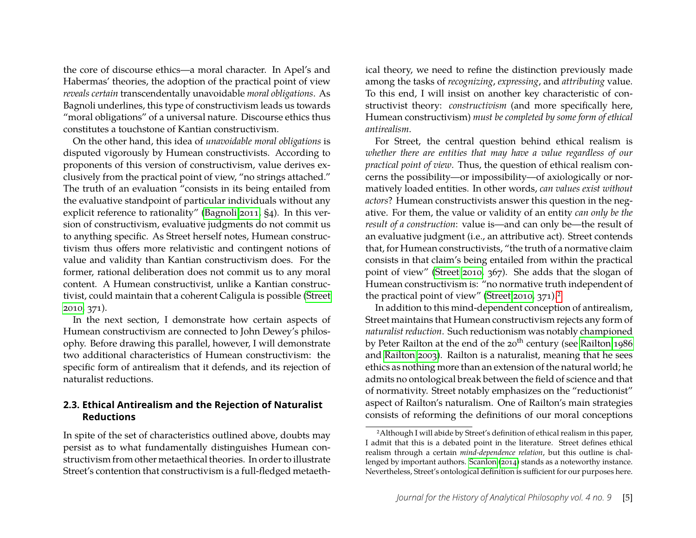the core of discourse ethics—a moral character. In Apel's and Habermas' theories, the adoption of the practical point of view *reveals certain* transcendentally unavoidable *moral obligations*. As Bagnoli underlines, this type of constructivism leads us towards "moral obligations" of a universal nature. Discourse ethics thus constitutes a touchstone of Kantian constructivism.

On the other hand, this idea of *unavoidable moral obligations* is disputed vigorously by Humean constructivists. According to proponents of this version of constructivism, value derives exclusively from the practical point of view, "no strings attached." The truth of an evaluation "consists in its being entailed from the evaluative standpoint of particular individuals without any explicit reference to rationality" [\(Bagnoli 2011,](#page-12-3) §4). In this version of constructivism, evaluative judgments do not commit us to anything specific. As Street herself notes, Humean constructivism thus offers more relativistic and contingent notions of value and validity than Kantian constructivism does. For the former, rational deliberation does not commit us to any moral content. A Humean constructivist, unlike a Kantian constructivist, could maintain that a coherent Caligula is possible [\(Street](#page-13-2) [2010,](#page-13-2) 371).

In the next section, I demonstrate how certain aspects of Humean constructivism are connected to John Dewey's philosophy. Before drawing this parallel, however, I will demonstrate two additional characteristics of Humean constructivism: the specific form of antirealism that it defends, and its rejection of naturalist reductions.

# **2.3. Ethical Antirealism and the Rejection of Naturalist Reductions**

In spite of the set of characteristics outlined above, doubts may persist as to what fundamentally distinguishes Humean constructivism from other metaethical theories. In order to illustrate Street's contention that constructivism is a full-fledged metaethical theory, we need to refine the distinction previously made among the tasks of *recognizing*, *expressing*, and *attributing* value. To this end, I will insist on another key characteristic of constructivist theory: *constructivism* (and more specifically here, Humean constructivism) *must be completed by some form of ethical antirealism*.

For Street, the central question behind ethical realism is *whether there are entities that may have a value regardless of our practical point of view*. Thus, the question of ethical realism concerns the possibility—or impossibility—of axiologically or normatively loaded entities. In other words, *can values exist without actors*? Humean constructivists answer this question in the negative. For them, the value or validity of an entity *can only be the result of a construction*: value is—and can only be—the result of an evaluative judgment (i.e., an attributive act). Street contends that, for Humean constructivists, "the truth of a normative claim consists in that claim's being entailed from within the practical point of view" [\(Street 2010,](#page-13-2) 367). She adds that the slogan of Humean constructivism is: "no normative truth independent of the practical point of view" [\(Street 2010,](#page-13-2) 371).<sup>[2](#page-5-0)</sup>

In addition to this mind-dependent conception of antirealism, Street maintains that Humean constructivism rejects any form of *naturalist reduction*. Such reductionism was notably championed by Peter Railton at the end of the  $20<sup>th</sup>$  century (see [Railton 1986](#page-13-6)) and [Railton 2003\)](#page-13-7). Railton is a naturalist, meaning that he sees ethics as nothing more than an extension of the natural world; he admits no ontological break between the field of science and that of normativity. Street notably emphasizes on the "reductionist" aspect of Railton's naturalism. One of Railton's main strategies consists of reforming the definitions of our moral conceptions

<span id="page-5-0"></span><sup>2</sup>Although I will abide by Street's definition of ethical realism in this paper, I admit that this is a debated point in the literature. Street defines ethical realism through a certain *mind-dependence relation*, but this outline is challenged by important authors. [Scanlon \(2014\)](#page-13-8) stands as a noteworthy instance. Nevertheless, Street's ontological definition is sufficient for our purposes here.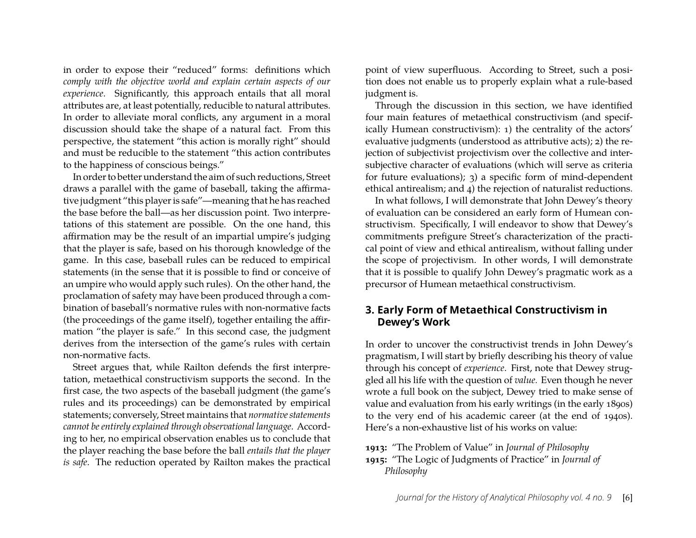in order to expose their "reduced" forms: definitions which *comply with the objective world and explain certain aspects of our experience*. Significantly, this approach entails that all moral attributes are, at least potentially, reducible to natural attributes. In order to alleviate moral conflicts, any argument in a moral discussion should take the shape of a natural fact. From this perspective, the statement "this action is morally right" should and must be reducible to the statement "this action contributes to the happiness of conscious beings."

In order to better understand the aim of such reductions, Street draws a parallel with the game of baseball, taking the affirmative judgment "this player is safe"—meaning that he has reached the base before the ball—as her discussion point. Two interpretations of this statement are possible. On the one hand, this affirmation may be the result of an impartial umpire's judging that the player is safe, based on his thorough knowledge of the game. In this case, baseball rules can be reduced to empirical statements (in the sense that it is possible to find or conceive of an umpire who would apply such rules). On the other hand, the proclamation of safety may have been produced through a combination of baseball's normative rules with non-normative facts (the proceedings of the game itself), together entailing the affirmation "the player is safe." In this second case, the judgment derives from the intersection of the game's rules with certain non-normative facts.

Street argues that, while Railton defends the first interpretation, metaethical constructivism supports the second. In the first case, the two aspects of the baseball judgment (the game's rules and its proceedings) can be demonstrated by empirical statements; conversely, Street maintains that *normative statements cannot be entirely explained through observational language*. According to her, no empirical observation enables us to conclude that the player reaching the base before the ball *entails that the player is safe*. The reduction operated by Railton makes the practical

point of view superfluous. According to Street, such a position does not enable us to properly explain what a rule-based judgment is.

Through the discussion in this section, we have identified four main features of metaethical constructivism (and specifically Humean constructivism): 1) the centrality of the actors' evaluative judgments (understood as attributive acts); 2) the rejection of subjectivist projectivism over the collective and intersubjective character of evaluations (which will serve as criteria for future evaluations); 3) a specific form of mind-dependent ethical antirealism; and 4) the rejection of naturalist reductions.

In what follows, I will demonstrate that John Dewey's theory of evaluation can be considered an early form of Humean constructivism. Specifically, I will endeavor to show that Dewey's commitments prefigure Street's characterization of the practical point of view and ethical antirealism, without falling under the scope of projectivism. In other words, I will demonstrate that it is possible to qualify John Dewey's pragmatic work as a precursor of Humean metaethical constructivism.

# **3. Early Form of Metaethical Constructivism in Dewey's Work**

In order to uncover the constructivist trends in John Dewey's pragmatism, I will start by briefly describing his theory of value through his concept of *experience*. First, note that Dewey struggled all his life with the question of *value.* Even though he never wrote a full book on the subject, Dewey tried to make sense of value and evaluation from his early writings (in the early 1890s) to the very end of his academic career (at the end of 1940s). Here's a non-exhaustive list of his works on value:

- **1913:** "The Problem of Value" in *Journal of Philosophy*
- **1915:** "The Logic of Judgments of Practice" in *Journal of Philosophy*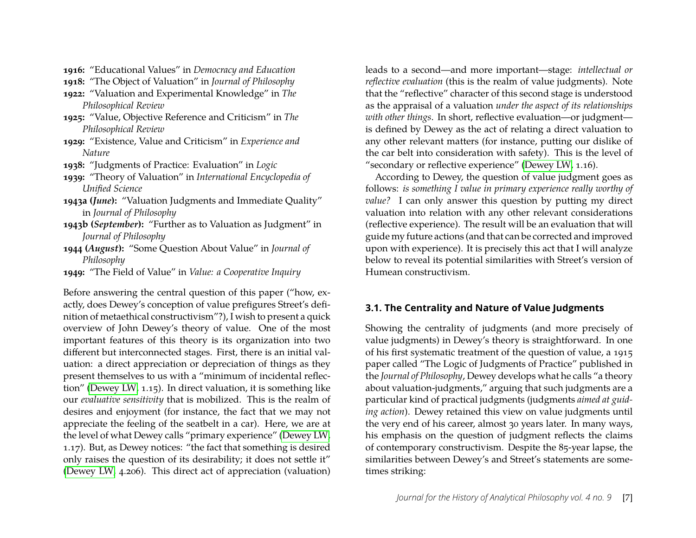**1916:** "Educational Values" in *Democracy and Education*

**1918:** "The Object of Valuation" in *Journal of Philosophy*

- **1922:** "Valuation and Experimental Knowledge" in *The Philosophical Review*
- **1925:** "Value, Objective Reference and Criticism" in *The Philosophical Review*
- **1929:** "Existence, Value and Criticism" in *Experience and Nature*
- **1938:** "Judgments of Practice: Evaluation" in *Logic*
- **1939:** "Theory of Valuation" in *International Encyclopedia of Unified Science*
- **1943a (***June***):** "Valuation Judgments and Immediate Quality" in *Journal of Philosophy*
- **1943b (***September***):** "Further as to Valuation as Judgment" in *Journal of Philosophy*
- **1944 (***August***):** "Some Question About Value" in *Journal of Philosophy*
- **1949:** "The Field of Value" in *Value: a Cooperative Inquiry*

Before answering the central question of this paper ("how, exactly, does Dewey's conception of value prefigures Street's definition of metaethical constructivism"?), I wish to present a quick overview of John Dewey's theory of value. One of the most important features of this theory is its organization into two different but interconnected stages. First, there is an initial valuation: a direct appreciation or depreciation of things as they present themselves to us with a "minimum of incidental reflection" [\(Dewey LW,](#page-12-0) 1.15). In direct valuation, it is something like our *evaluative sensitivity* that is mobilized. This is the realm of desires and enjoyment (for instance, the fact that we may not appreciate the feeling of the seatbelt in a car). Here, we are at the level of what Dewey calls "primary experience" [\(Dewey LW,](#page-12-0) 1.17). But, as Dewey notices: "the fact that something is desired only raises the question of its desirability; it does not settle it" [\(Dewey LW,](#page-12-0) 4.206). This direct act of appreciation (valuation)

leads to a second—and more important—stage: *intellectual or reflective evaluation* (this is the realm of value judgments). Note that the "reflective" character of this second stage is understood as the appraisal of a valuation *under the aspect of its relationships with other things*. In short, reflective evaluation—or judgment is defined by Dewey as the act of relating a direct valuation to any other relevant matters (for instance, putting our dislike of the car belt into consideration with safety). This is the level of "secondary or reflective experience" [\(Dewey LW,](#page-12-0) 1.16).

According to Dewey, the question of value judgment goes as follows: *is something I value in primary experience really worthy of value?* I can only answer this question by putting my direct valuation into relation with any other relevant considerations (reflective experience). The result will be an evaluation that will guide my future actions (and that can be corrected and improved upon with experience). It is precisely this act that I will analyze below to reveal its potential similarities with Street's version of Humean constructivism.

# **3.1. The Centrality and Nature of Value Judgments**

Showing the centrality of judgments (and more precisely of value judgments) in Dewey's theory is straightforward. In one of his first systematic treatment of the question of value, a 1915 paper called "The Logic of Judgments of Practice" published in the *Journal of Philosophy*, Dewey develops what he calls "a theory about valuation-judgments," arguing that such judgments are a particular kind of practical judgments (judgments *aimed at guiding action*). Dewey retained this view on value judgments until the very end of his career, almost 30 years later. In many ways, his emphasis on the question of judgment reflects the claims of contemporary constructivism. Despite the 85-year lapse, the similarities between Dewey's and Street's statements are sometimes striking: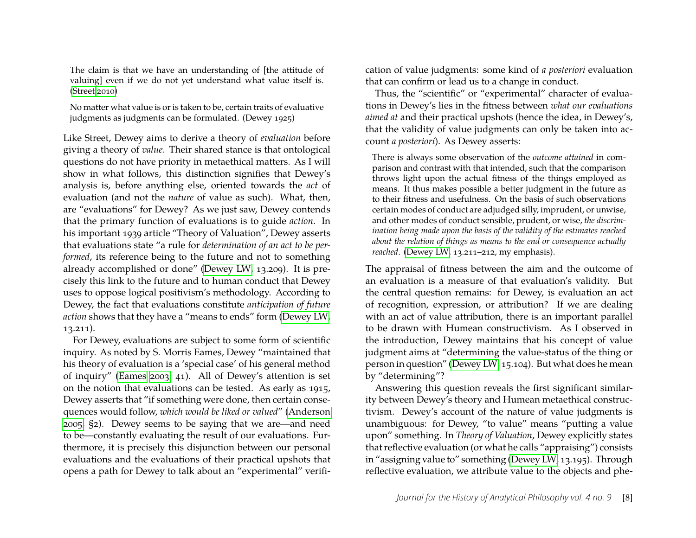The claim is that we have an understanding of [the attitude of valuing] even if we do not yet understand what value itself is. [\(Street 2010\)](#page-13-2)

No matter what value is or is taken to be, certain traits of evaluative judgments as judgments can be formulated. (Dewey 1925)

Like Street, Dewey aims to derive a theory of *evaluation* before giving a theory of *value*. Their shared stance is that ontological questions do not have priority in metaethical matters. As I will show in what follows, this distinction signifies that Dewey's analysis is, before anything else, oriented towards the *act* of evaluation (and not the *nature* of value as such). What, then, are "evaluations" for Dewey? As we just saw, Dewey contends that the primary function of evaluations is to guide *action*. In his important 1939 article "Theory of Valuation", Dewey asserts that evaluations state "a rule for *determination of an act to be performed*, its reference being to the future and not to something already accomplished or done" [\(Dewey LW,](#page-12-0) 13.209). It is precisely this link to the future and to human conduct that Dewey uses to oppose logical positivism's methodology. According to Dewey, the fact that evaluations constitute *anticipation of future action* shows that they have a "means to ends" form [\(Dewey LW,](#page-12-0) 13.211).

For Dewey, evaluations are subject to some form of scientific inquiry. As noted by S. Morris Eames, Dewey "maintained that his theory of evaluation is a 'special case' of his general method of inquiry" [\(Eames 2003,](#page-13-9) 41). All of Dewey's attention is set on the notion that evaluations can be tested. As early as 1915, Dewey asserts that "if something were done, then certain consequences would follow, *which would be liked or valued*" [\(Anderson](#page-12-5) [2005,](#page-12-5) §2). Dewey seems to be saying that we are—and need to be—constantly evaluating the result of our evaluations. Furthermore, it is precisely this disjunction between our personal evaluations and the evaluations of their practical upshots that opens a path for Dewey to talk about an "experimental" verification of value judgments: some kind of *a posteriori* evaluation that can confirm or lead us to a change in conduct.

Thus, the "scientific" or "experimental" character of evaluations in Dewey's lies in the fitness between *what our evaluations aimed at* and their practical upshots (hence the idea, in Dewey's, that the validity of value judgments can only be taken into account *a posteriori*). As Dewey asserts:

There is always some observation of the *outcome attained* in comparison and contrast with that intended, such that the comparison throws light upon the actual fitness of the things employed as means. It thus makes possible a better judgment in the future as to their fitness and usefulness. On the basis of such observations certain modes of conduct are adjudged silly, imprudent, or unwise, and other modes of conduct sensible, prudent, or wise, *the discrimination being made upon the basis of the validity of the estimates reached about the relation of things as means to the end or consequence actually reached*. [\(Dewey LW,](#page-12-0) 13.211–212, my emphasis).

The appraisal of fitness between the aim and the outcome of an evaluation is a measure of that evaluation's validity. But the central question remains: for Dewey, is evaluation an act of recognition, expression, or attribution? If we are dealing with an act of value attribution, there is an important parallel to be drawn with Humean constructivism. As I observed in the introduction, Dewey maintains that his concept of value judgment aims at "determining the value-status of the thing or person in question" [\(Dewey LW,](#page-12-0) 15.104). But what does he mean by "determining"?

Answering this question reveals the first significant similarity between Dewey's theory and Humean metaethical constructivism. Dewey's account of the nature of value judgments is unambiguous: for Dewey, "to value" means "putting a value upon" something. In *Theory of Valuation*, Dewey explicitly states that reflective evaluation (or what he calls "appraising") consists in "assigning value to" something [\(Dewey LW,](#page-12-0) 13.195). Through reflective evaluation, we attribute value to the objects and phe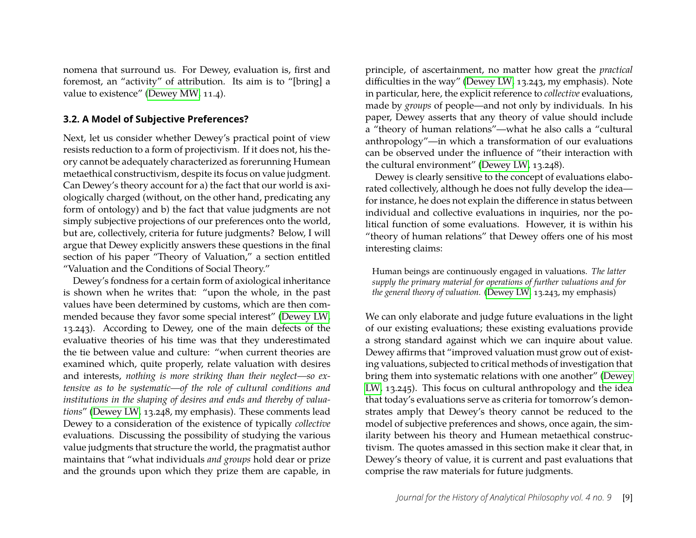nomena that surround us. For Dewey, evaluation is, first and foremost, an "activity" of attribution. Its aim is to "[bring] a value to existence" [\(Dewey MW,](#page-12-6) 11.4).

#### **3.2. A Model of Subjective Preferences?**

Next, let us consider whether Dewey's practical point of view resists reduction to a form of projectivism. If it does not, his theory cannot be adequately characterized as forerunning Humean metaethical constructivism, despite its focus on value judgment. Can Dewey's theory account for a) the fact that our world is axiologically charged (without, on the other hand, predicating any form of ontology) and b) the fact that value judgments are not simply subjective projections of our preferences onto the world, but are, collectively, criteria for future judgments? Below, I will argue that Dewey explicitly answers these questions in the final section of his paper "Theory of Valuation," a section entitled "Valuation and the Conditions of Social Theory."

Dewey's fondness for a certain form of axiological inheritance is shown when he writes that: "upon the whole, in the past values have been determined by customs, which are then commended because they favor some special interest" [\(Dewey LW,](#page-12-0) 13.243). According to Dewey, one of the main defects of the evaluative theories of his time was that they underestimated the tie between value and culture: "when current theories are examined which, quite properly, relate valuation with desires and interests, *nothing is more striking than their neglect—so extensive as to be systematic—of the role of cultural conditions and institutions in the shaping of desires and ends and thereby of valuations*" [\(Dewey LW,](#page-12-0) 13.248, my emphasis). These comments lead Dewey to a consideration of the existence of typically *collective* evaluations. Discussing the possibility of studying the various value judgments that structure the world, the pragmatist author maintains that "what individuals *and groups* hold dear or prize and the grounds upon which they prize them are capable, in

principle, of ascertainment, no matter how great the *practical* difficulties in the way" [\(Dewey LW,](#page-12-0) 13.243, my emphasis). Note in particular, here, the explicit reference to *collective* evaluations, made by *groups* of people—and not only by individuals. In his paper, Dewey asserts that any theory of value should include a "theory of human relations"—what he also calls a "cultural anthropology"—in which a transformation of our evaluations can be observed under the influence of "their interaction with the cultural environment" [\(Dewey LW,](#page-12-0) 13.248).

Dewey is clearly sensitive to the concept of evaluations elaborated collectively, although he does not fully develop the idea for instance, he does not explain the difference in status between individual and collective evaluations in inquiries, nor the political function of some evaluations. However, it is within his "theory of human relations" that Dewey offers one of his most interesting claims:

Human beings are continuously engaged in valuations. *The latter supply the primary material for operations of further valuations and for the general theory of valuation.* [\(Dewey LW,](#page-12-0) 13.243, my emphasis)

We can only elaborate and judge future evaluations in the light of our existing evaluations; these existing evaluations provide a strong standard against which we can inquire about value. Dewey affirms that "improved valuation must grow out of existing valuations, subjected to critical methods of investigation that bring them into systematic relations with one another" [\(Dewey](#page-12-0) [LW,](#page-12-0) 13.245). This focus on cultural anthropology and the idea that today's evaluations serve as criteria for tomorrow's demonstrates amply that Dewey's theory cannot be reduced to the model of subjective preferences and shows, once again, the similarity between his theory and Humean metaethical constructivism. The quotes amassed in this section make it clear that, in Dewey's theory of value, it is current and past evaluations that comprise the raw materials for future judgments.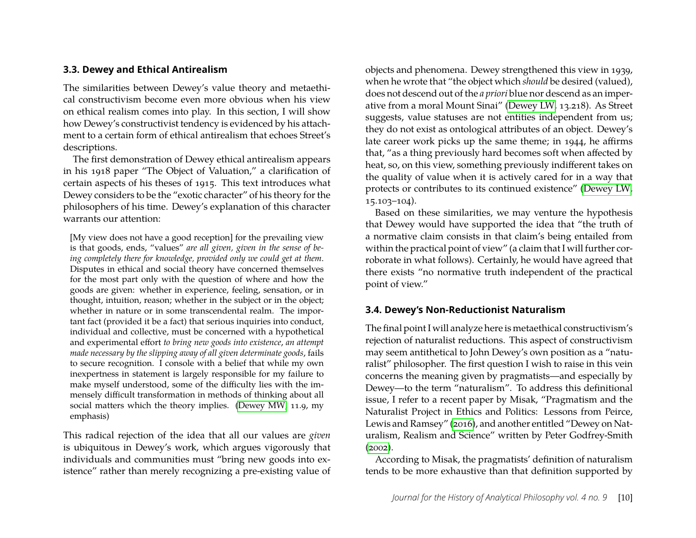## **3.3. Dewey and Ethical Antirealism**

The similarities between Dewey's value theory and metaethical constructivism become even more obvious when his view on ethical realism comes into play. In this section, I will show how Dewey's constructivist tendency is evidenced by his attachment to a certain form of ethical antirealism that echoes Street's descriptions.

The first demonstration of Dewey ethical antirealism appears in his 1918 paper "The Object of Valuation," a clarification of certain aspects of his theses of 1915. This text introduces what Dewey considers to be the "exotic character" of his theory for the philosophers of his time. Dewey's explanation of this character warrants our attention:

[My view does not have a good reception] for the prevailing view is that goods, ends, "values" *are all given, given in the sense of being completely there for knowledge, provided only we could get at them*. Disputes in ethical and social theory have concerned themselves for the most part only with the question of where and how the goods are given: whether in experience, feeling, sensation, or in thought, intuition, reason; whether in the subject or in the object; whether in nature or in some transcendental realm. The important fact (provided it be a fact) that serious inquiries into conduct, individual and collective, must be concerned with a hypothetical and experimental effort *to bring new goods into existence*, *an attempt made necessary by the slipping away of all given determinate goods*, fails to secure recognition. I console with a belief that while my own inexpertness in statement is largely responsible for my failure to make myself understood, some of the difficulty lies with the immensely difficult transformation in methods of thinking about all social matters which the theory implies. [\(Dewey MW,](#page-12-6) 11.9, my emphasis)

This radical rejection of the idea that all our values are *given* is ubiquitous in Dewey's work, which argues vigorously that individuals and communities must "bring new goods into existence" rather than merely recognizing a pre-existing value of

objects and phenomena. Dewey strengthened this view in 1939, when he wrote that "the object which *should* be desired (valued), does not descend out of the *a priori* blue nor descend as an imperative from a moral Mount Sinai" [\(Dewey LW,](#page-12-0) 13.218). As Street suggests, value statuses are not entities independent from us; they do not exist as ontological attributes of an object. Dewey's late career work picks up the same theme; in 1944, he affirms that, "as a thing previously hard becomes soft when affected by heat, so, on this view, something previously indifferent takes on the quality of value when it is actively cared for in a way that protects or contributes to its continued existence" [\(Dewey LW,](#page-12-0) 15.103–104).

Based on these similarities, we may venture the hypothesis that Dewey would have supported the idea that "the truth of a normative claim consists in that claim's being entailed from within the practical point of view" (a claim that I will further corroborate in what follows). Certainly, he would have agreed that there exists "no normative truth independent of the practical point of view."

#### **3.4. Dewey's Non-Reductionist Naturalism**

The final point I will analyze here is metaethical constructivism's rejection of naturalist reductions. This aspect of constructivism may seem antithetical to John Dewey's own position as a "naturalist" philosopher. The first question I wish to raise in this vein concerns the meaning given by pragmatists—and especially by Dewey—to the term "naturalism". To address this definitional issue, I refer to a recent paper by Misak, "Pragmatism and the Naturalist Project in Ethics and Politics: Lessons from Peirce, Lewis and Ramsey" [\(2016\)](#page-13-10), and another entitled "Dewey on Naturalism, Realism and Science" written by Peter Godfrey-Smith  $(2002)$ .

According to Misak, the pragmatists' definition of naturalism tends to be more exhaustive than that definition supported by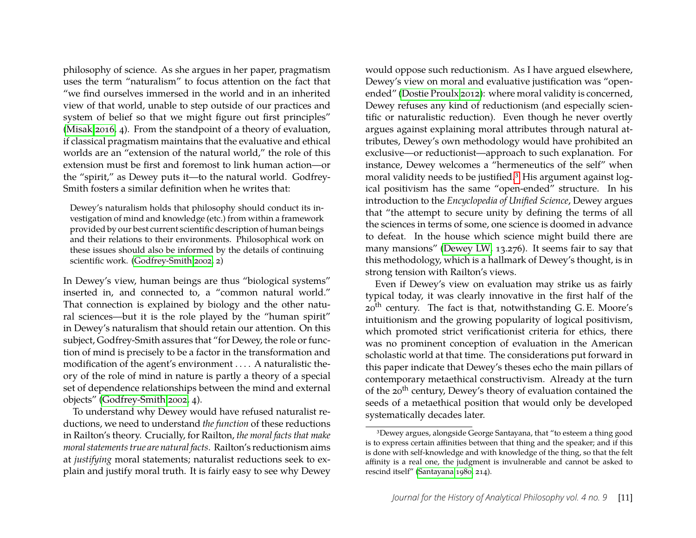philosophy of science. As she argues in her paper, pragmatism uses the term "naturalism" to focus attention on the fact that "we find ourselves immersed in the world and in an inherited view of that world, unable to step outside of our practices and system of belief so that we might figure out first principles" [\(Misak 2016,](#page-13-10) 4). From the standpoint of a theory of evaluation, if classical pragmatism maintains that the evaluative and ethical worlds are an "extension of the natural world," the role of this extension must be first and foremost to link human action—or the "spirit," as Dewey puts it—to the natural world. Godfrey-Smith fosters a similar definition when he writes that:

Dewey's naturalism holds that philosophy should conduct its investigation of mind and knowledge (etc.) from within a framework provided by our best current scientific description of human beings and their relations to their environments. Philosophical work on these issues should also be informed by the details of continuing scientific work. [\(Godfrey-Smith 2002,](#page-13-11) 2)

In Dewey's view, human beings are thus "biological systems" inserted in, and connected to, a "common natural world." That connection is explained by biology and the other natural sciences—but it is the role played by the "human spirit" in Dewey's naturalism that should retain our attention. On this subject, Godfrey-Smith assures that "for Dewey, the role or function of mind is precisely to be a factor in the transformation and modification of the agent's environment . . . . A naturalistic theory of the role of mind in nature is partly a theory of a special set of dependence relationships between the mind and external objects" [\(Godfrey-Smith 2002,](#page-13-11) 4).

To understand why Dewey would have refused naturalist reductions, we need to understand *the function* of these reductions in Railton's theory. Crucially, for Railton, *the moral facts that make moral statements true are natural facts*. Railton's reductionism aims at *justifying* moral statements; naturalist reductions seek to explain and justify moral truth. It is fairly easy to see why Dewey

would oppose such reductionism. As I have argued elsewhere, Dewey's view on moral and evaluative justification was "openended" [\(Dostie Proulx 2012\)](#page-12-7): where moral validity is concerned, Dewey refuses any kind of reductionism (and especially scientific or naturalistic reduction). Even though he never overtly argues against explaining moral attributes through natural attributes, Dewey's own methodology would have prohibited an exclusive—or reductionist—approach to such explanation. For instance, Dewey welcomes a "hermeneutics of the self" when moral validity needs to be justified.[3](#page-11-0) His argument against logical positivism has the same "open-ended" structure. In his introduction to the *Encyclopedia of Unified Science*, Dewey argues that "the attempt to secure unity by defining the terms of all the sciences in terms of some, one science is doomed in advance to defeat. In the house which science might build there are many mansions" [\(Dewey LW,](#page-12-0) 13.276). It seems fair to say that this methodology, which is a hallmark of Dewey's thought, is in strong tension with Railton's views.

Even if Dewey's view on evaluation may strike us as fairly typical today, it was clearly innovative in the first half of the 20<sup>th</sup> century. The fact is that, notwithstanding G. E. Moore's intuitionism and the growing popularity of logical positivism, which promoted strict verificationist criteria for ethics, there was no prominent conception of evaluation in the American scholastic world at that time. The considerations put forward in this paper indicate that Dewey's theses echo the main pillars of contemporary metaethical constructivism. Already at the turn of the 20<sup>th</sup> century, Dewey's theory of evaluation contained the seeds of a metaethical position that would only be developed systematically decades later.

<span id="page-11-0"></span><sup>3</sup>Dewey argues, alongside George Santayana, that "to esteem a thing good is to express certain affinities between that thing and the speaker; and if this is done with self-knowledge and with knowledge of the thing, so that the felt affinity is a real one, the judgment is invulnerable and cannot be asked to rescind itself" [\(Santayana 1980,](#page-13-12) 214).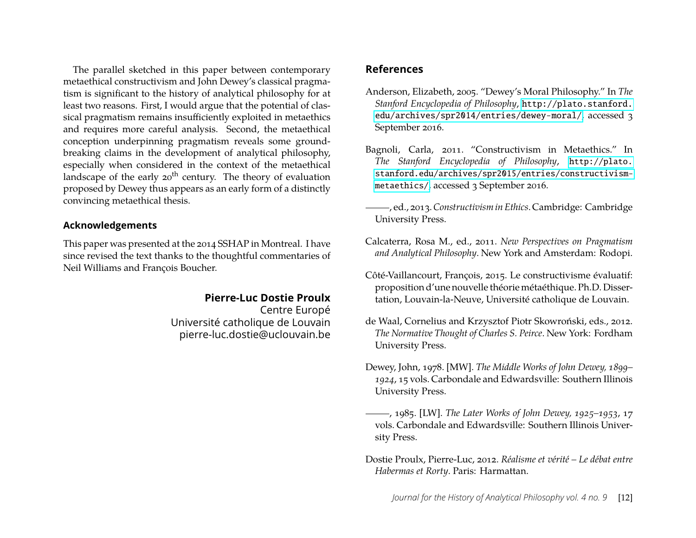The parallel sketched in this paper between contemporary metaethical constructivism and John Dewey's classical pragmatism is significant to the history of analytical philosophy for at least two reasons. First, I would argue that the potential of classical pragmatism remains insufficiently exploited in metaethics and requires more careful analysis. Second, the metaethical conception underpinning pragmatism reveals some groundbreaking claims in the development of analytical philosophy, especially when considered in the context of the metaethical landscape of the early  $20<sup>th</sup>$  century. The theory of evaluation proposed by Dewey thus appears as an early form of a distinctly convincing metaethical thesis.

# **Acknowledgements**

This paper was presented at the 2014 SSHAP in Montreal. I have since revised the text thanks to the thoughtful commentaries of Neil Williams and François Boucher.

# **Pierre-Luc Dostie Proulx**

Centre Europé Université catholique de Louvain pierre-luc.dostie@uclouvain.be

# **References**

- <span id="page-12-5"></span><span id="page-12-1"></span>Anderson, Elizabeth, 2005. "Dewey's Moral Philosophy." In *The Stanford Encyclopedia of Philosophy*, [http://plato.stanford.](http://plato.stanford.edu/archives/spr2014/entries/dewey-moral/) [edu/archives/spr2014/entries/dewey-moral/](http://plato.stanford.edu/archives/spr2014/entries/dewey-moral/), accessed 3 September 2016.
- <span id="page-12-3"></span>Bagnoli, Carla, 2011. "Constructivism in Metaethics." In *The Stanford Encyclopedia of Philosophy*, [http://plato.](http://plato.stanford.edu/archives/spr2015/entries/constructivism-metaethics/) [stanford.edu/archives/spr2015/entries/constructivism](http://plato.stanford.edu/archives/spr2015/entries/constructivism-metaethics/)[metaethics/](http://plato.stanford.edu/archives/spr2015/entries/constructivism-metaethics/), accessed 3 September 2016.
- <span id="page-12-2"></span>, ed., 2013.*Constructivism in Ethics*. Cambridge: Cambridge University Press.
- Calcaterra, Rosa M., ed., 2011. *New Perspectives on Pragmatism and Analytical Philosophy*. New York and Amsterdam: Rodopi.
- <span id="page-12-4"></span>Côté-Vaillancourt, François, 2015. Le constructivisme évaluatif: proposition d'une nouvelle théorie métaéthique. Ph.D. Dissertation, Louvain-la-Neuve, Université catholique de Louvain.
- <span id="page-12-8"></span>de Waal, Cornelius and Krzysztof Piotr Skowroński, eds., 2012. *The Normative Thought of Charles S. Peirce*. New York: Fordham University Press.
- <span id="page-12-6"></span>Dewey, John, 1978. [MW]. *The Middle Works of John Dewey, 1899– 1924*, 15 vols. Carbondale and Edwardsville: Southern Illinois University Press.
- <span id="page-12-0"></span>, 1985. [LW]. *The Later Works of John Dewey, 1925–1953*, 17 vols. Carbondale and Edwardsville: Southern Illinois University Press.
- <span id="page-12-7"></span>Dostie Proulx, Pierre-Luc, 2012. *Réalisme et vérité – Le débat entre Habermas et Rorty*. Paris: Harmattan.